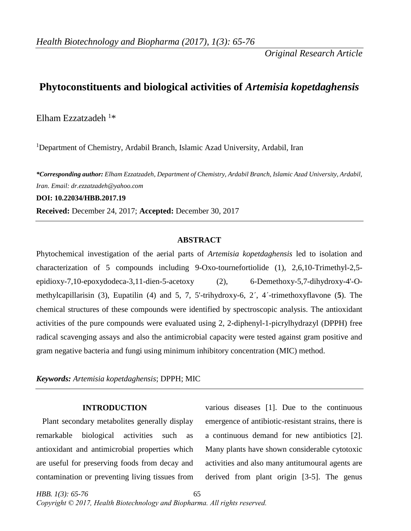*Original Research Article*

# **Phytoconstituents and biological activities of** *Artemisia kopetdaghensis*

Elham Ezzatzadeh  $1*$ 

<sup>1</sup>Department of Chemistry, Ardabil Branch, Islamic Azad University, Ardabil, Iran

*\*Corresponding author: Elham Ezzatzadeh, Department of Chemistry, Ardabil Branch, Islamic Azad University, Ardabil, Iran. Email: dr.ezzatzadeh@yahoo.com*

**DOI: 10.22034/HBB.2017.19**

**Received:** December 24, 2017; **Accepted:** December 30, 2017

## **ABSTRACT**

Phytochemical investigation of the aerial parts of *Artemisia kopetdaghensis* led to isolation and characterization of 5 compounds including 9-Oxo-tournefortiolide (1), 2,6,10-Trimethyl-2,5 epidioxy-7,10-epoxydodeca-3,11-dien-5-acetoxy (2), 6-Demethoxy-5,7-dihydroxy-4'-Omethylcapillarisin (3), Eupatilin (4) and 5, 7, 5'-trihydroxy-6, 2´, 4´-trimethoxyflavone (**5**). The chemical structures of these compounds were identified by spectroscopic analysis. The antioxidant activities of the pure compounds were evaluated using 2, 2-diphenyl-1-picrylhydrazyl (DPPH) free radical scavenging assays and also the antimicrobial capacity were tested against gram positive and gram negative bacteria and fungi using minimum inhibitory concentration (MIC) method.

*Keywords: Artemisia kopetdaghensis*; DPPH; MIC

#### **INTRODUCTION**

 Plant secondary metabolites generally display remarkable biological activities such as antioxidant and antimicrobial properties which are useful for preserving foods from decay and contamination or preventing living tissues from

various diseases [1]. Due to the continuous emergence of antibiotic-resistant strains, there is a continuous demand for new antibiotics [2]. Many plants have shown considerable cytotoxic activities and also many antitumoural agents are derived from plant origin [3-5]. The genus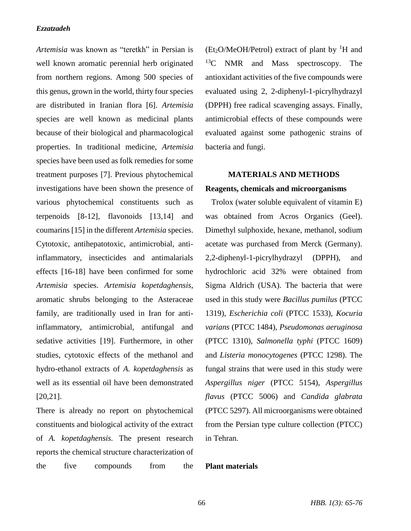*Artemisia* was known as "teretkh" in Persian is well known aromatic perennial herb originated from northern regions. Among 500 species of this genus, grown in the world, thirty four species are distributed in Iranian flora [6]. *Artemisia* species are well known as medicinal plants because of their biological and pharmacological properties. In traditional medicine, *Artemisia* species have been used as folk remedies for some treatment purposes [7]. Previous phytochemical investigations have been shown the presence of various phytochemical constituents such as terpenoids [8-12], flavonoids [13,14] and coumarins [15] in the different *Artemisia* species. Cytotoxic, antihepatotoxic, antimicrobial, antiinflammatory, insecticides and antimalarials effects [16-18] have been confirmed for some *Artemisia* species. *Artemisia kopetdaghensis*, aromatic shrubs belonging to the Asteraceae family, are traditionally used in Iran for antiinflammatory, antimicrobial, antifungal and sedative activities [19]. Furthermore, in other studies, cytotoxic effects of the methanol and hydro-ethanol extracts of *A. kopetdaghensis* as well as its essential oil have been demonstrated [20,21].

There is already no report on phytochemical constituents and biological activity of the extract of *A. kopetdaghensis.* The present research reports the chemical structure characterization of the five compounds from the

 $(Et<sub>2</sub>O/MeOH/Petrol)$  extract of plant by <sup>1</sup>H and <sup>13</sup>C NMR and Mass spectroscopy. The antioxidant activities of the five compounds were evaluated using 2, 2-diphenyl-1-picrylhydrazyl (DPPH) free radical scavenging assays. Finally, antimicrobial effects of these compounds were evaluated against some pathogenic strains of bacteria and fungi.

# **MATERIALS AND METHODS Reagents, chemicals and microorganisms**

 Trolox (water soluble equivalent of vitamin E) was obtained from Acros Organics (Geel). Dimethyl sulphoxide, hexane, methanol, sodium acetate was purchased from Merck (Germany). 2,2-diphenyl-1-picrylhydrazyl (DPPH), and hydrochloric acid 32% were obtained from Sigma Aldrich (USA). The bacteria that were used in this study were *Bacillus pumilus* (PTCC 1319), *Escherichia coli* (PTCC 1533), *Kocuria varians* (PTCC 1484), *Pseudomonas aeruginosa* (PTCC 1310), *Salmonella typhi* (PTCC 1609) and *Listeria monocytogenes* (PTCC 1298). The fungal strains that were used in this study were *Aspergillus niger* (PTCC 5154), *Aspergillus flavus* (PTCC 5006) and *Candida glabrata* (PTCC 5297). All microorganisms were obtained from the Persian type culture collection (PTCC) in Tehran.

### **Plant materials**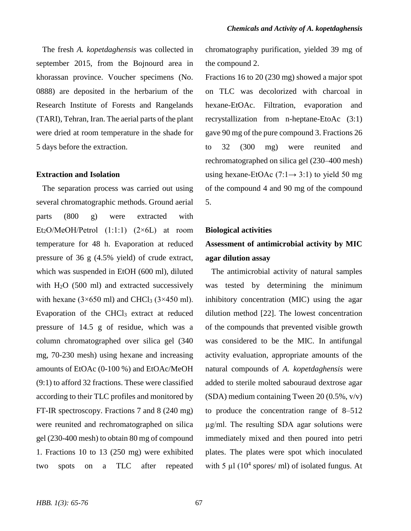The fresh *A. kopetdaghensis* was collected in september 2015, from the Bojnourd area in khorassan province. Voucher specimens (No. 0888) are deposited in the herbarium of the Research Institute of Forests and Rangelands (TARI), Tehran, Iran. The aerial parts of the plant were dried at room temperature in the shade for 5 days before the extraction.

#### **Extraction and Isolation**

 The separation process was carried out using several chromatographic methods. Ground aerial parts (800 g) were extracted with Et<sub>2</sub>O/MeOH/Petrol  $(1:1:1)$   $(2\times6L)$  at room temperature for 48 h. Evaporation at reduced pressure of 36 g (4.5% yield) of crude extract, which was suspended in EtOH (600 ml), diluted with  $H<sub>2</sub>O$  (500 ml) and extracted successively with hexane ( $3\times 650$  ml) and CHCl<sub>3</sub> ( $3\times 450$  ml). Evaporation of the CHCl<sup>3</sup> extract at reduced pressure of 14.5 g of residue, which was a column chromatographed over silica gel (340 mg, 70-230 mesh) using hexane and increasing amounts of EtOAc (0-100 %) and EtOAc/MeOH (9:1) to afford 32 fractions. These were classified according to their TLC profiles and monitored by FT-IR spectroscopy. Fractions 7 and 8 (240 mg) were reunited and rechromatographed on silica gel (230-400 mesh) to obtain 80 mg of compound 1. Fractions 10 to 13 (250 mg) were exhibited two spots on a TLC after repeated

chromatography purification, yielded 39 mg of the compound 2.

Fractions 16 to 20 (230 mg) showed a major spot on TLC was decolorized with charcoal in hexane-EtOAc. Filtration, evaporation and recrystallization from n-heptane-EtoAc (3:1) gave 90 mg of the pure compound 3. Fractions 26 to 32 (300 mg) were reunited and rechromatographed on silica gel (230–400 mesh) using hexane-EtOAc  $(7:1 \rightarrow 3:1)$  to yield 50 mg of the compound 4 and 90 mg of the compound 5.

### **Biological activities**

# **Assessment of antimicrobial activity by MIC agar dilution assay**

 The antimicrobial activity of natural samples was tested by determining the minimum inhibitory concentration (MIC) using the agar dilution method [22]. The lowest concentration of the compounds that prevented visible growth was considered to be the MIC. In antifungal activity evaluation, appropriate amounts of the natural compounds of *A. kopetdaghensis* were added to sterile molted sabouraud dextrose agar (SDA) medium containing Tween 20 (0.5%, v/v) to produce the concentration range of 8–512 µg/ml. The resulting SDA agar solutions were immediately mixed and then poured into petri plates. The plates were spot which inoculated with 5  $\mu$ l (10<sup>4</sup> spores/ ml) of isolated fungus. At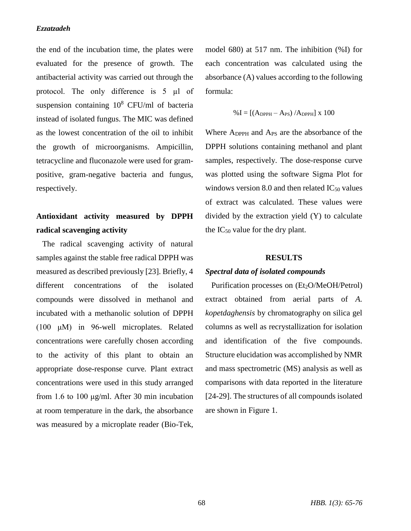the end of the incubation time, the plates were evaluated for the presence of growth. The antibacterial activity was carried out through the protocol. The only difference is 5 µl of suspension containing  $10^8$  CFU/ml of bacteria instead of isolated fungus. The MIC was defined as the lowest concentration of the oil to inhibit the growth of microorganisms. Ampicillin, tetracycline and fluconazole were used for grampositive, gram-negative bacteria and fungus, respectively.

# **Antioxidant activity measured by DPPH radical scavenging activity**

 The radical scavenging activity of natural samples against the stable free radical DPPH was measured as described previously [23]. Briefly, 4 different concentrations of the isolated compounds were dissolved in methanol and incubated with a methanolic solution of DPPH (100 μM) in 96-well microplates. Related concentrations were carefully chosen according to the activity of this plant to obtain an appropriate dose-response curve. Plant extract concentrations were used in this study arranged from 1.6 to 100 μg/ml. After 30 min incubation at room temperature in the dark, the absorbance was measured by a microplate reader (Bio-Tek, model 680) at 517 nm. The inhibition (%I) for each concentration was calculated using the absorbance (A) values according to the following formula:

$$
\%I = \left[\left(A_{DPPH} - A_{PS}\right) / A_{DPPH}\right] \times 100
$$

Where ADPPH and APS are the absorbance of the DPPH solutions containing methanol and plant samples, respectively. The dose-response curve was plotted using the software Sigma Plot for windows version 8.0 and then related  $IC_{50}$  values of extract was calculated. These values were divided by the extraction yield (Y) to calculate the  $IC_{50}$  value for the dry plant.

### **RESULTS**

### *Spectral data of isolated compounds*

Purification processes on (Et<sub>2</sub>O/MeOH/Petrol) extract obtained from aerial parts of *A. kopetdaghensis* by chromatography on silica gel columns as well as recrystallization for isolation and identification of the five compounds. Structure elucidation was accomplished by NMR and mass spectrometric (MS) analysis as well as comparisons with data reported in the literature [24-29]. The structures of all compounds isolated are shown in Figure 1.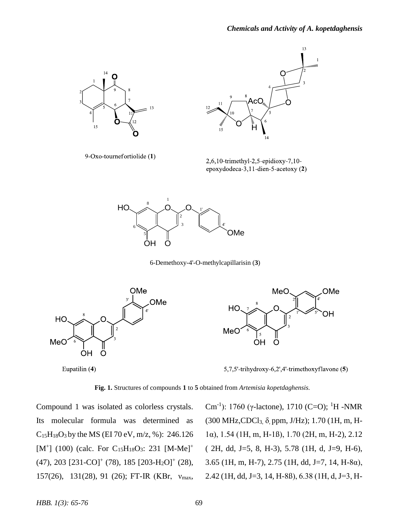

9-Oxo-tournefortiolide (1)



 $2,6,10$ -trimethyl-2,5-epidioxy-7,10epoxydodeca-3,11-dien-5-acetoxy (2)



6-Demethoxy-4'-O-methylcapillarisin (**3**)



Eupatilin (4)

5,7,5'-trihydroxy-6,2',4'-trimethoxyflavone (5)

**Fig. 1.** Structures of compounds **1** to **5** obtained from *Artemisia kopetdaghensis.*

Compound 1 was isolated as colorless crystals. Its molecular formula was determined as  $C_{15}H_{18}O_3$  by the MS (EI 70 eV, m/z, %): 246.126  $[M^+]$  (100) (calc. For C<sub>15</sub>H<sub>18</sub>O<sub>3</sub>: 231 [M-Me]<sup>+</sup>  $(47)$ , 203  $[231$ -CO]<sup>+</sup> (78), 185  $[203$ -H<sub>2</sub>O]<sup>+</sup> (28), 157(26), 131(28), 91 (26); FT-IR (KBr, νmax,

Cm<sup>-1</sup>): 1760 (γ-lactone), 1710 (C=O); <sup>1</sup>H -NMR (300 MHz, CDCl<sub>3,  $\delta$ , ppm, J/Hz); 1.70 (1H, m, H-</sub> 1α), 1.54 (1H, m, H-1ß), 1.70 (2H, m, H-2), 2.12 ( 2H, dd, J=5, 8, H-3), 5.78 (1H, d, J=9, H-6), 3.65 (1H, m, H-7), 2.75 (1H, dd, J=7, 14, H-8α), 2.42 (1H, dd, J=3, 14, H-8ß), 6.38 (1H, d, J=3, H-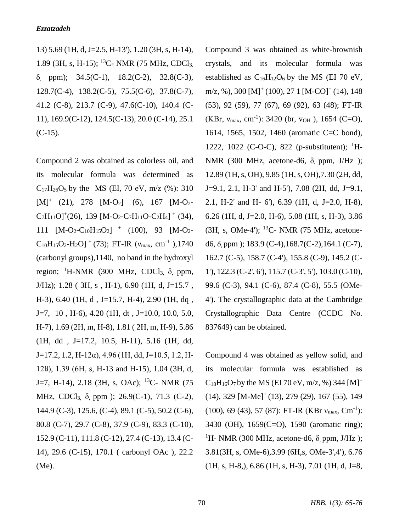13) 5.69 (1H, d, J=2.5, H-13'), 1.20 (3H, s, H-14), 1.89 (3H, s, H-15); <sup>13</sup>C- NMR (75 MHz, CDCl<sub>3</sub>) δ, ppm); 34.5(C-1), 18.2(C-2), 32.8(C-3), 128.7(C-4), 138.2(C-5), 75.5(C-6), 37.8(C-7), 41.2 (C-8), 213.7 (C-9), 47.6(C-10), 140.4 (C-11), 169.9(C-12), 124.5(C-13), 20.0 (C-14), 25.1 (C-15).

Compound 2 was obtained as colorless oil, and its molecular formula was determined as  $C_{17}H_{26}O_5$  by the MS (EI, 70 eV, m/z (%): 310  $[M]^+$  (21), 278  $[M-O_2]$  <sup>+</sup>(6), 167  $[M-O_2 C_7H_{11}O^+(26)$ , 139 [M-O<sub>2</sub>-C<sub>7</sub>H<sub>11</sub>O-C<sub>2</sub>H<sub>4</sub>]<sup>+</sup> (34), 111  $[M-O_2-C_{10}H_15O_2]$  + (100), 93  $[M-O_2 C_{10}H_{15}O_2$ -H<sub>2</sub>O]<sup>+</sup> (73); FT-IR ( $v_{\text{max}}$ , cm<sup>-1</sup>),1740 (carbonyl groups),1140, no band in the hydroxyl region; <sup>1</sup>H-NMR (300 MHz, CDCl<sub>3,</sub> δ, ppm, J/Hz); 1.28 ( 3H, s , H-1), 6.90 (1H, d, J=15.7 , H-3), 6.40 (1H, d , J=15.7, H-4), 2.90 (1H, dq ,  $J=7, 10, H=6$ , 4.20 (1H, dt, J=10.0, 10.0, 5.0, H-7), 1.69 (2H, m, H-8), 1.81 ( 2H, m, H-9), 5.86 (1H, dd , J=17.2, 10.5, H-11), 5.16 (1H, dd,  $J=17.2$ , 1.2, H-12α), 4.96 (1H, dd, J=10.5, 1.2, H-12ß), 1.39 (6H, s, H-13 and H-15), 1.04 (3H, d, J=7, H-14), 2.18 (3H, s, OAc); <sup>13</sup>C- NMR (75) MHz, CDCl3, δ, ppm ); 26.9(C-1), 71.3 (C-2), 144.9 (C-3), 125.6, (C-4), 89.1 (C-5), 50.2 (C-6), 80.8 (C-7), 29.7 (C-8), 37.9 (C-9), 83.3 (C-10), 152.9 (C-11), 111.8 (C-12), 27.4 (C-13), 13.4 (C-14), 29.6 (C-15), 170.1 ( carbonyl OAc ), 22.2 (Me).

Compound 3 was obtained as white-brownish crystals, and its molecular formula was established as  $C_{16}H_{12}O_6$  by the MS (EI 70 eV,  $m/z$ , %), 300 [M]<sup>+</sup> (100), 27 1 [M-CO]<sup>+</sup> (14), 148 (53), 92 (59), 77 (67), 69 (92), 63 (48); FT-IR (KBr,  $v_{\text{max}}$ , cm<sup>-1</sup>): 3420 (br,  $v_{OH}$ ), 1654 (C=O), 1614, 1565, 1502, 1460 (aromatic C=C bond), 1222, 1022 (C-O-C), 822 (p-substitutent);  ${}^{1}H-$ NMR (300 MHz, acetone-d6,  $\delta$ , ppm, J/Hz); 12.89 (1H, s, OH), 9.85 (1H, s, OH),7.30 (2H, dd, J=9.1, 2.1, H-3' and H-5'), 7.08 (2H, dd, J=9.1, 2.1, H-2' and H- 6'), 6.39 (1H, d, J=2.0, H-8), 6.26 (1H, d, J=2.0, H-6), 5.08 (1H, s, H-3), 3.86  $(3H, s, OMe-4)$ ; <sup>13</sup>C- NMR (75 MHz, acetoned6,  $\delta$  ppm ); 183.9 (C-4), 168.7(C-2), 164.1 (C-7), 162.7 (C-5), 158.7 (C-4'), 155.8 (C-9), 145.2 (C-1'), 122.3 (C-2', 6'), 115.7 (C-3', 5'), 103.0 (C-10), 99.6 (C-3), 94.1 (C-6), 87.4 (C-8), 55.5 (OMe-4'). The crystallographic data at the Cambridge Crystallographic Data Centre (CCDC No. 837649) can be obtained.

Compound 4 was obtained as yellow solid, and its molecular formula was established as  $C_{18}H_{16}O_7$  by the MS (EI 70 eV, m/z, %) 344 [M]<sup>+</sup>  $(14)$ , 329 [M-Me]<sup>+</sup> (13), 279 (29), 167 (55), 149  $(100)$ , 69 (43), 57 (87): FT-IR (KBr  $v_{\text{max}}$ , Cm<sup>-1</sup>): 3430 (OH), 1659(C=O), 1590 (aromatic ring); <sup>1</sup>H- NMR (300 MHz, acetone-d6,  $\delta$ , ppm, J/Hz); 3.81(3H, s, OMe-6),3.99 (6H,s, OMe-3',4'), 6.76  $(1H, s, H-8), 6.86$   $(1H, s, H-3), 7.01$   $(1H, d, J=8,$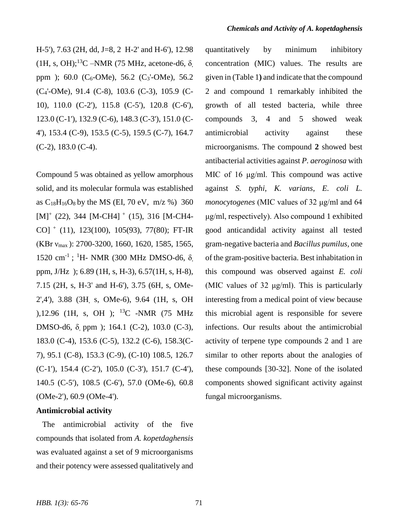H-5'), 7.63 (2H, dd, J=8, 2 H-2' and H-6'), 12.98 (1H, s, OH);<sup>13</sup>C –NMR (75 MHz, acetone-d6,  $\delta$ ppm ); 60.0 ( $C_6$ -OMe), 56.2 ( $C_3$ '-OMe), 56.2 (C4'-OMe), 91.4 (C-8), 103.6 (C-3), 105.9 (C-10), 110.0 (C-2'), 115.8 (C-5'), 120.8 (C-6'), 123.0 (C-1'), 132.9 (C-6), 148.3 (C-3'), 151.0 (C-4'), 153.4 (C-9), 153.5 (C-5), 159.5 (C-7), 164.7 (C-2), 183.0 (C-4).

Compound 5 was obtained as yellow amorphous solid, and its molecular formula was established as  $C_{18}H_{16}O_8$  by the MS (EI, 70 eV, m/z %) 360  $[M]^+$  (22), 344 [M-CH4]  $^+$  (15), 316 [M-CH4-CO] <sup>+</sup> (11), 123(100), 105(93), 77(80); FT-IR (KBr νmax ): 2700-3200, 1660, 1620, 1585, 1565, 1520 cm<sup>-1</sup>; <sup>1</sup>H- NMR (300 MHz DMSO-d6, δ, ppm, J/Hz ); 6.89 (1H, s, H-3), 6.57(1H, s, H-8), 7.15 (2H, s, H-3' and H-6'), 3.75 (6H, s, OMe-2',4'), 3.88 (3H, s, OMe-6), 9.64 (1H, s, OH ),12.96 (1H, s, OH ); <sup>13</sup>C -NMR (75 MHz DMSO-d6, δ, ppm ); 164.1 (C-2), 103.0 (C-3), 183.0 (C-4), 153.6 (C-5), 132.2 (C-6), 158.3(C-7), 95.1 (C-8), 153.3 (C-9), (C-10) 108.5, 126.7 (C-1'), 154.4 (C-2'), 105.0 (C-3'), 151.7 (C-4'), 140.5 (C-5'), 108.5 (C-6'), 57.0 (OMe-6), 60.8 (OMe-2'), 60.9 (OMe-4').

## **Antimicrobial activity**

 The antimicrobial activity of the five compounds that isolated from *A. kopetdaghensis* was evaluated against a set of 9 microorganisms and their potency were assessed qualitatively and quantitatively by minimum inhibitory concentration (MIC) values. The results are given in (Table 1**)** and indicate that the compound 2 and compound 1 remarkably inhibited the growth of all tested bacteria, while three compounds 3, 4 and 5 showed weak antimicrobial activity against these microorganisms. The compound **2** showed best antibacterial activities against *P. aeroginosa* with MIC of 16 μg/ml. This compound was active against *S. typhi*, *K. varians*, *E. coli L. monocytogenes* (MIC values of 32 μg/ml and 64 μg/ml, respectively). Also compound 1 exhibited good anticandidal activity against all tested gram-negative bacteria and *Bacillus pumilus,* one of the gram-positive bacteria. Best inhabitation in this compound was observed against *E. coli* (MIC values of 32 μg/ml). This is particularly interesting from a medical point of view because this microbial agent is responsible for severe infections. Our results about the antimicrobial activity of terpene type compounds 2 and 1 are similar to other reports about the analogies of these compounds [30-32]. None of the isolated components showed significant activity against fungal microorganisms.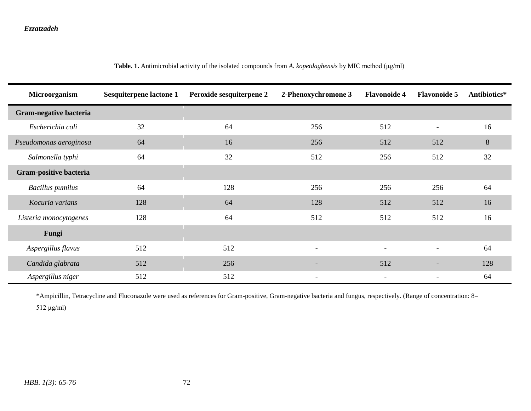| Microorganism           | <b>Sesquiterpene lactone 1</b> | Peroxide sesquiterpene 2 | 2-Phenoxychromone 3      | <b>Flavonoide 4</b>      | <b>Flavonoide 5</b>      | Antibiotics*   |
|-------------------------|--------------------------------|--------------------------|--------------------------|--------------------------|--------------------------|----------------|
| Gram-negative bacteria  |                                |                          |                          |                          |                          |                |
| Escherichia coli        | 32                             | 64                       | 256                      | 512                      |                          | 16             |
| Pseudomonas aeroginosa  | 64                             | 16                       | 256                      | 512                      | 512                      | $8\phantom{.}$ |
| Salmonella typhi        | 64                             | 32                       | 512                      | 256                      | 512                      | 32             |
| Gram-positive bacteria  |                                |                          |                          |                          |                          |                |
| <b>Bacillus</b> pumilus | 64                             | 128                      | 256                      | 256                      | 256                      | 64             |
| Kocuria varians         | 128                            | 64                       | 128                      | 512                      | 512                      | 16             |
| Listeria monocytogenes  | 128                            | 64                       | 512                      | 512                      | 512                      | 16             |
| Fungi                   |                                |                          |                          |                          |                          |                |
| Aspergillus flavus      | 512                            | 512                      | $\overline{\phantom{a}}$ | $\overline{\phantom{a}}$ |                          | 64             |
| Candida glabrata        | 512                            | 256                      | $\overline{\phantom{a}}$ | 512                      | $\overline{\phantom{a}}$ | 128            |
| Aspergillus niger       | 512                            | 512                      | $\overline{\phantom{a}}$ | $\overline{\phantom{a}}$ |                          | 64             |

Table. 1. Antimicrobial activity of the isolated compounds from *A. kopetdaghensis* by MIC method (µg/ml)

\*Ampicillin, Tetracycline and Fluconazole were used as references for Gram-positive, Gram-negative bacteria and fungus, respectively. (Range of concentration: 8– 512 µg/ml)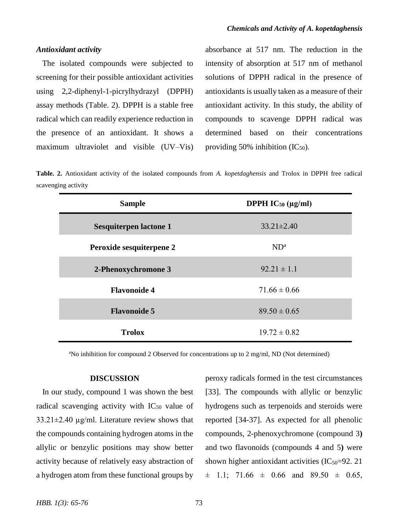#### *Antioxidant activity*

 The isolated compounds were subjected to screening for their possible antioxidant activities using 2,2-diphenyl-1-picrylhydrazyl (DPPH) assay methods (Table. 2). DPPH is a stable free radical which can readily experience reduction in the presence of an antioxidant. It shows a maximum ultraviolet and visible (UV–Vis) absorbance at 517 nm. The reduction in the intensity of absorption at 517 nm of methanol solutions of DPPH radical in the presence of antioxidants is usually taken as a measure of their antioxidant activity. In this study, the ability of compounds to scavenge DPPH radical was determined based on their concentrations providing 50% inhibition  $(IC_{50})$ .

**Table. 2.** Antioxidant activity of the isolated compounds from *A. kopetdaghensis* and Trolox in DPPH free radical scavenging activity

| <b>Sample</b>                 | <b>DPPH IC<sub>50</sub></b> ( $\mu$ g/ml) |  |  |
|-------------------------------|-------------------------------------------|--|--|
| <b>Sesquiterpen lactone 1</b> | $33.21 \pm 2.40$                          |  |  |
| Peroxide sesquiterpene 2      | ND <sup>a</sup>                           |  |  |
| 2-Phenoxychromone 3           | $92.21 \pm 1.1$                           |  |  |
| <b>Flavonoide 4</b>           | $71.66 \pm 0.66$                          |  |  |
| <b>Flavonoide 5</b>           | $89.50 \pm 0.65$                          |  |  |
| <b>Trolox</b>                 | $19.72 \pm 0.82$                          |  |  |

<sup>a</sup>No inhibition for compound 2 Observed for concentrations up to 2 mg/ml, ND (Not determined)

#### **DISCUSSION**

 In our study, compound 1 was shown the best radical scavenging activity with  $IC_{50}$  value of 33.21±2.40 µg/ml. Literature review shows that the compounds containing hydrogen atoms in the allylic or benzylic positions may show better activity because of relatively easy abstraction of a hydrogen atom from these functional groups by peroxy radicals formed in the test circumstances [33]. The compounds with allylic or benzylic hydrogens such as terpenoids and steroids were reported [34-37]. As expected for all phenolic compounds, 2-phenoxychromone (compound 3**)**  and two flavonoids (compounds 4 and 5**)** were shown higher antioxidant activities  $(IC_{50}=92.21)$  $\pm$  1.1; 71.66  $\pm$  0.66 and 89.50  $\pm$  0.65,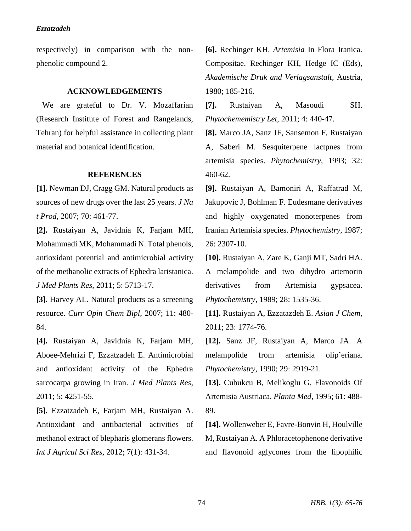respectively) in comparison with the nonphenolic compound 2.

## **ACKNOWLEDGEMENTS**

 We are grateful to Dr. V. Mozaffarian (Research Institute of Forest and Rangelands, Tehran) for helpful assistance in collecting plant material and botanical identification.

### **REFERENCES**

**[1].** Newman DJ, Cragg GM. Natural products as sources of new drugs over the last 25 years. *J Na t Prod*, 2007; 70: 461-77.

**[2].** Rustaiyan A, Javidnia K, Farjam MH, Mohammadi MK, Mohammadi N. Total phenols, antioxidant potential and antimicrobial activity of the methanolic extracts of Ephedra laristanica. *J Med Plants Res*, 2011; 5: 5713-17.

**[3].** Harvey AL. Natural products as a screening resource. *Curr Opin Chem Bipl*, 2007; 11: 480- 84.

**[4].** Rustaiyan A, Javidnia K, Farjam MH, Aboee-Mehrizi F, Ezzatzadeh E. Antimicrobial and antioxidant activity of the Ephedra sarcocarpa growing in Iran. *J Med Plants Res*, 2011; 5: 4251-55.

**[5].** Ezzatzadeh E, Farjam MH, Rustaiyan A. Antioxidant and antibacterial activities of methanol extract of blepharis glomerans flowers. *Int J Agricul Sci Res,* 2012; 7(1): 431-34.

**[6].** Rechinger KH. *Artemisia* In Flora Iranica. Compositae. Rechinger KH, Hedge IC (Eds), *Akademische Druk and Verlagsanstalt*, Austria, 1980; 185-216.

**[7].** Rustaiyan A, Masoudi SH. *Phytochememistry Let*, 2011; 4: 440-47.

**[8].** Marco JA, Sanz JF, Sansemon F, Rustaiyan A, Saberi M. Sesquiterpene lactpnes from artemisia species. *Phytochemistry,* 1993; 32: 460-62.

**[9].** Rustaiyan A, Bamoniri A, Raffatrad M, Jakupovic J, Bohlman F. Eudesmane derivatives and highly oxygenated monoterpenes from Iranian Artemisia species. *Phytochemistry*, 1987; 26: 2307-10.

**[10].** Rustaiyan A, Zare K, Ganji MT, Sadri HA. A melampolide and two dihydro artemorin derivatives from Artemisia gypsacea. *Phytochemistry*, 1989; 28: 1535-36.

**[11].** Rustaiyan A, Ezzatazdeh E. *Asian J Chem*, 2011; 23: 1774-76.

**[12].** Sanz JF, Rustaiyan A, Marco JA. A melampolide from artemisia olip'eriana. *Phytochemistry*, 1990; 29: 2919-21.

**[13].** Cubukcu B, Melikoglu G. Flavonoids Of Artemisia Austriaca. *Planta Med*, 1995; 61: 488- 89.

**[14].** Wollenweber E, Favre-Bonvin H, Houlville M, Rustaiyan A. A Phloracetophenone derivative and flavonoid aglycones from the lipophilic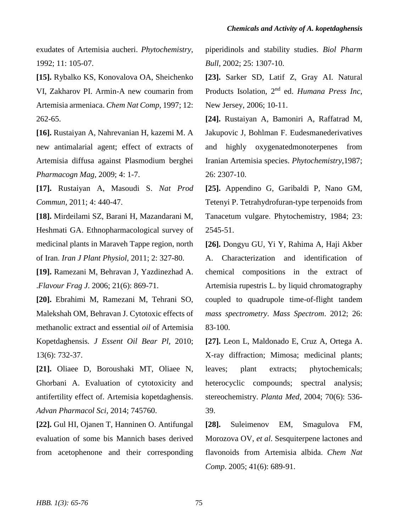exudates of Artemisia aucheri. *Phytochemistry*, 1992; 11: 105-07.

**[15].** Rybalko KS, Konovalova OA, Sheichenko VI, Zakharov PI. Armin-A new coumarin from Artemisia armeniaca. *Chem Nat Comp*, 1997; 12: 262-65.

**[16].** Rustaiyan A, Nahrevanian H, kazemi M. A new antimalarial agent; effect of extracts of Artemisia diffusa against Plasmodium berghei *Pharmacogn Mag,* 2009; 4: 1-7.

**[17].** Rustaiyan A, Masoudi S. *Nat Prod Commun*, 2011; 4: 440-47.

**[18].** Mirdeilami SZ, Barani H, Mazandarani M, Heshmati GA. Ethnopharmacological survey of medicinal plants in Maraveh Tappe region, north of Iran. *Iran J Plant Physiol*, 2011; 2: 327-80.

**[19].** Ramezani M, Behravan J, Yazdinezhad A. .*Flavour Frag J*. 2006; 21(6): 869-71.

**[20].** Ebrahimi M, Ramezani M, Tehrani SO, Malekshah OM, Behravan J. Cytotoxic effects of methanolic extract and essential *oil* of Artemisia Kopetdaghensis*. J Essent Oil Bear Pl,* 2010; 13(6): 732-37.

**[21].** Oliaee D, Boroushaki MT, Oliaee N, Ghorbani A. Evaluation of cytotoxicity and antifertility effect of. Artemisia kopetdaghensis. *Advan Pharmacol Sci*, 2014; 745760.

**[22].** Gul HI, Ojanen T, Hanninen O. Antifungal evaluation of some bis Mannich bases derived from acetophenone and their corresponding

piperidinols and stability studies. *Biol Pharm Bull*, 2002; 25: 1307-10.

**[23].** Sarker SD, Latif Z, Gray AI. Natural Products Isolation, 2nd ed. *Humana Press Inc*, New Jersey, 2006; 10-11.

**[24].** Rustaiyan A, Bamoniri A, Raffatrad M, Jakupovic J, Bohlman F. Eudesmanederivatives and highly oxygenatedmonoterpenes from Iranian Artemisia species. *Phytochemistry*,1987; 26: 2307-10.

**[25].** Appendino G, Garibaldi P, Nano GM, Tetenyi P. Tetrahydrofuran-type terpenoids from Tanacetum vulgare. Phytochemistry, 1984; 23: 2545-51.

**[26].** Dongyu GU, Yi Y, Rahima A, Haji Akber A. Characterization and identification of chemical compositions in the extract of Artemisia rupestris L. by liquid chromatography coupled to quadrupole time-of-flight tandem *mass spectrometry*. *Mass Spectrom*. 2012; 26: 83-100.

**[27].** Leon L, Maldonado E, Cruz A, Ortega A. X-ray diffraction; Mimosa; medicinal plants; leaves; plant extracts; phytochemicals; heterocyclic compounds; spectral analysis; stereochemistry. *Planta Med*, 2004; 70(6): 536- 39.

**[28].** Suleimenov EM, Smagulova FM, Morozova OV, *et al*. Sesquiterpene lactones and flavonoids from Artemisia albida. *Chem Nat Comp*. 2005; 41(6): 689-91.